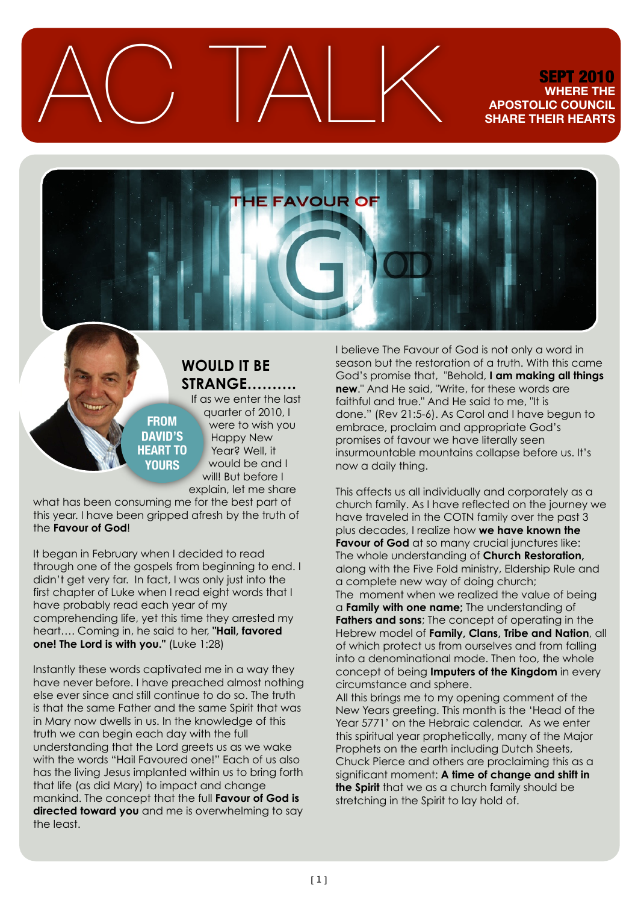$\triangle C$  TALK SEPT 2010

### **WHERE THE APOSTOLIC COUNCIL SHARE THEIR HEARTS**



## **WOULD IT BE STRANGE……….**

**FROM DAVID'S HEART TO YOURS**

If as we enter the last quarter of 2010, I were to wish you Happy New Year? Well, it would be and I will! But before I explain, let me share

what has been consuming me for the best part of this year. I have been gripped afresh by the truth of the **Favour of God**!

It began in February when I decided to read through one of the gospels from beginning to end. I didn't get very far. In fact, I was only just into the first chapter of Luke when I read eight words that I have probably read each year of my comprehending life, yet this time they arrested my heart…. Coming in, he said to her, **"Hail, favored one! The Lord is with you."** (Luke 1:28)

Instantly these words captivated me in a way they have never before. I have preached almost nothing else ever since and still continue to do so. The truth is that the same Father and the same Spirit that was in Mary now dwells in us. In the knowledge of this truth we can begin each day with the full understanding that the Lord greets us as we wake with the words "Hail Favoured one!" Each of us also has the living Jesus implanted within us to bring forth that life (as did Mary) to impact and change mankind. The concept that the full **Favour of God is**  directed toward you and me is overwhelming to say the least.

I believe The Favour of God is not only a word in season but the restoration of a truth. With this came God's promise that, "Behold, **I am making all things new**." And He said, "Write, for these words are faithful and true." And He said to me, "It is done." (Rev 21:5-6). As Carol and I have begun to embrace, proclaim and appropriate God's promises of favour we have literally seen insurmountable mountains collapse before us. It's now a daily thing.

This affects us all individually and corporately as a church family. As I have reflected on the journey we have traveled in the COTN family over the past 3 plus decades, I realize how **we have known the Favour of God** at so many crucial junctures like: The whole understanding of **Church Restoration,**  along with the Five Fold ministry, Eldership Rule and a complete new way of doing church; The moment when we realized the value of being a **Family with one name;** The understanding of **Fathers and sons**; The concept of operating in the Hebrew model of **Family, Clans, Tribe and Nation**, all of which protect us from ourselves and from falling into a denominational mode. Then too, the whole concept of being **Imputers of the Kingdom** in every circumstance and sphere.

All this brings me to my opening comment of the New Years greeting. This month is the 'Head of the Year 5771' on the Hebraic calendar. As we enter this spiritual year prophetically, many of the Major Prophets on the earth including Dutch Sheets, Chuck Pierce and others are proclaiming this as a significant moment: **A time of change and shift in the Spirit** that we as a church family should be stretching in the Spirit to lay hold of.